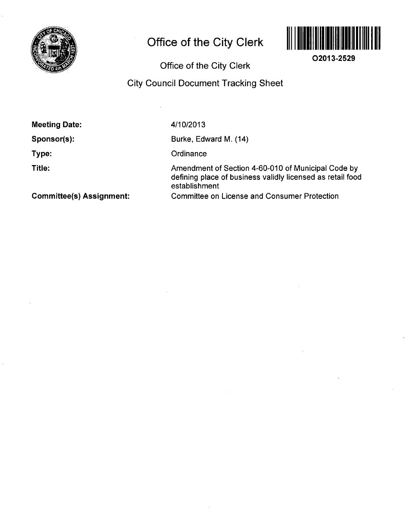

# **Office of the City Clerk**



**02013-2529** 

**Office of the City Clerk** 

## **City Council Document Tracking Sheet**

| <b>Meeting Date:</b> |  |
|----------------------|--|
|----------------------|--|

**Sponsor(s):** 

**Type:** 

**Title:** 

4/10/2013

Burke, Edward M. (14)

**Ordinance** 

Amendment of Section 4-60-010 of Municipal Code by defining place of business validly licensed as retail food establishment Committee on License and Consumer Protection

**Committee(s) Assignment:**